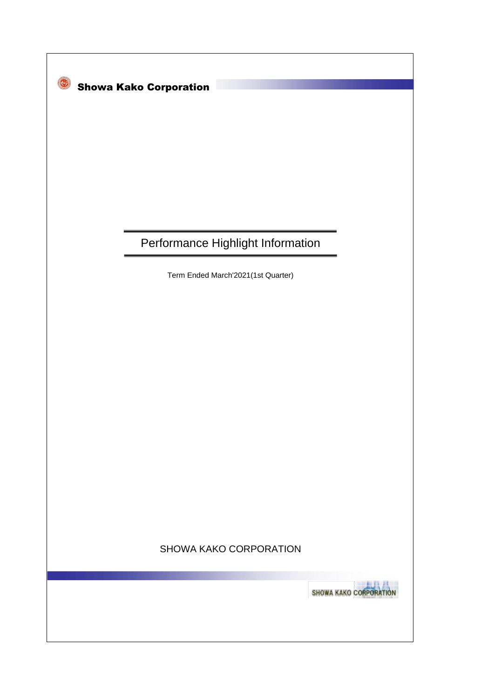

# Performance Highlight Information

Term Ended March'2021(1st Quarter)

# SHOWA KAKO CORPORATION

SHOWA KAKO CORPORATION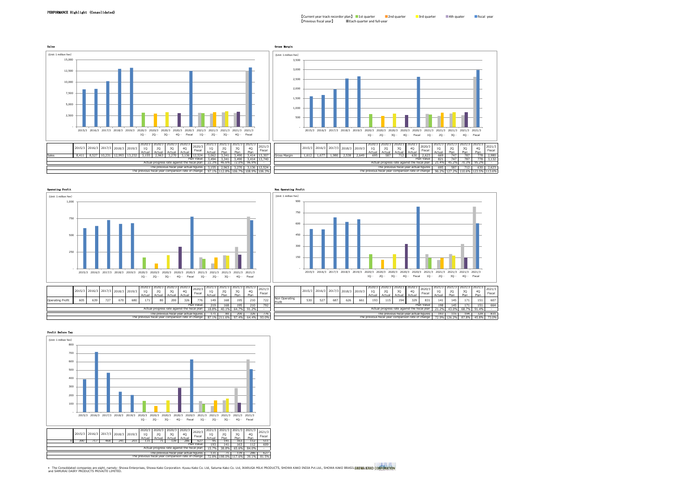



### Profit Before Tax



\* The Consolidated companies are eight, namely: Showa Enterprises, Showa Kako Cocporation. Kyusu Kako Co. Ltd, Satuma Kako Co. Ltd, IKARUGA MILK PRODUCTS, SHOWA KAKO INDIA Pvt.Ltd., SHOWA KAKO BRASIL§**HOW.**<br>and SAMURAI DAI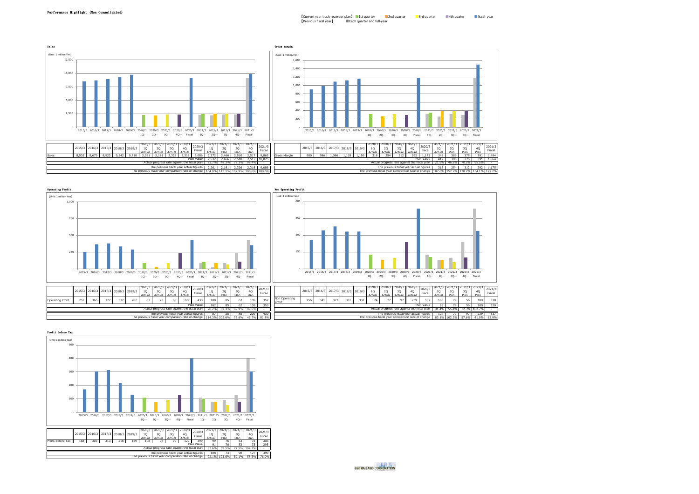2020/3 3Q Actual 2020/3 4Q سىسى<br>239 2020/3 Fiscal 2021/3 1Q  $\frac{103}{103}$ 2021/3 2Q Plan 2021/3 3Q  $\frac{1}{56}$ 2021/3 4Q  $\frac{1}{100}$ 2021/3 Fiscal

The previous fiscal year actual figures The previous fiscal year comparison rate of change

Plan Value

87 28 85 229 430 124 77 97 239 537 114.3% 305.6% 72.6% 45.7% 81.8% 81.8% 81.8% 83.1% 72.6% 83.1% 83.1% 83.1% 83.1% 83.1% 83.1% 83.1% 83.1% 83.1%

28.2% 55.4% 72.3% 102.7%





Profit Before Tax



The previous fiscal year actual figures The previous fiscal year comparison rate of change